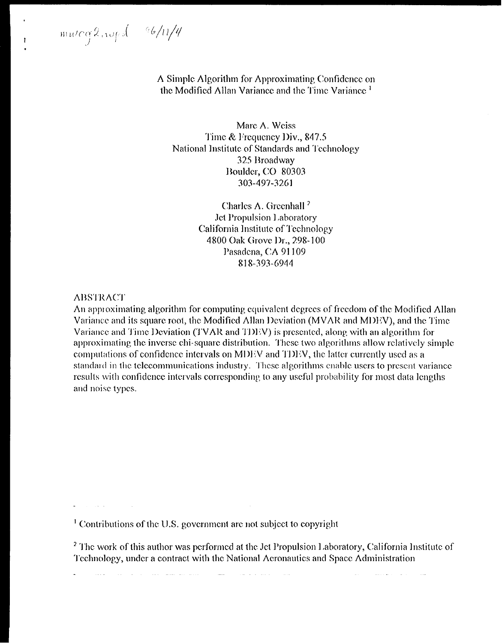$m \omega c q 2 \log d = 96/11/4$ 

A Simple Algorithm for Approximating Confidence on the Modified Allan Variance and the Time Variance<sup>1</sup>

Marc A. Weiss Time & Frequency Div., 847.5 National Institute of Standards and Technology 325 Broadway Boulder, CO 80303 303-497-3261

> Charles A. Greenhall<sup>2</sup> Jet Propulsion Laboratory California Institute of Technology 4800 Oak Grove Dr., 298-100 Pasadena, CA 91109 818-393-6944

**ABSTRACT** 

**Contract Contract** 

المنتقل والمستعدد والمتناور والمتحدث والمتعارف

An approximating algorithm for computing equivalent degrees of freedom of the Modified Allan Variance and its square root, the Modified Allan Deviation (MVAR and MDEV), and the Time Variance and Time Deviation (TVAR and TDEV) is presented, along with an algorithm for approximating the inverse chi-square distribution. These two algorithms allow relatively simple computations of confidence intervals on MDEV and TDEV, the latter currently used as a standard in the telecommunications industry. These algorithms enable users to present variance results with confidence intervals corresponding to any useful probability for most data lengths and noise types.

<sup>1</sup> Contributions of the U.S. government are not subject to copyright

<sup>2</sup> The work of this author was performed at the Jet Propulsion Laboratory, California Institute of Technology, under a contract with the National Aeronautics and Space Administration

 $\mathcal{L}$ 

<u> 1986 - Jan Barbara Barat, pre</u>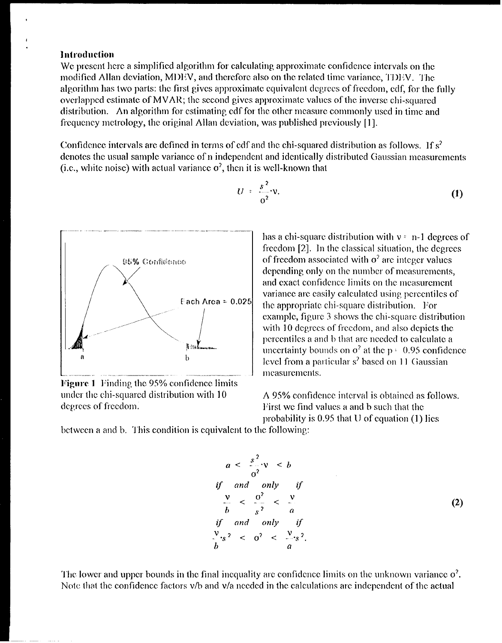## Introduction

We present here a simplified algorithm for calculating approximate confidence intervals on the modified Allan deviation, MDEV, and therefore also on the related time variance. TDEV, The algorithm has two parts; the first gives approximate coujvalent degrees of freedom, edf, for the fully overlapped estimate of MVAR; the second gives approximate values of the inverse chi-squared distribution. An algorithm for estimating edf for the other measure commonly used in time and frequency metrology, the original Allan deviation, was published previously [1].

Confidence intervals are defined in terms of edf and the chi-squared distribution as follows. If  $s^2$ denotes the usual sample variance of n independent and identically distributed Gaussian measurements (i.e., white noise) with actual variance  $\sigma^2$ , then it is well-known that



Figure 1 Finding the 95% confidence limits under the chi-squared distribution with 10 degrees of freedom.

 $U = \frac{s^2}{\sigma^2} v.$  $(1)$ 

> has a chi-square distribution with  $v = n-1$  degrees of freedom [2]. In the classical situation, the degrees of freedom associated with  $\sigma^2$  are integer values depending only on the number of measurements, and exact confidence limits on the measurement variance are easily calculated using percentiles of the appropriate chi-square distribution. For example, figure 3 shows the chi-square distribution with 10 degrees of freedom, and also depicts the percentiles a and b that are needed to calculate a uncertainty bounds on  $\sigma^2$  at the  $p = 0.95$  confidence level from a particular s<sup>2</sup> based on 11 Gaussian measurements.

A 95% confidence interval is obtained as follows. First we find values a and b such that the probability is 0.95 that U of cquation (1) lies

between a and b. This condition is equivalent to the following:

$$
a < \frac{s^{2}}{\sigma^{2}} \cdot v < b
$$
  
if and only if  

$$
\frac{v}{b} < \frac{\sigma^{2}}{s^{2}} < \frac{v}{a}
$$
  
if and only if  

$$
\frac{v}{b} \cdot s^{2} < \sigma^{2} < \frac{v}{a} s^{2}.
$$
 (2)

The lower and upper bounds in the final inequality are confidence limits on the unknown variance  $\sigma^2$ . Note that the confidence factors v/b and v/a needed in the calculations are independent of the actual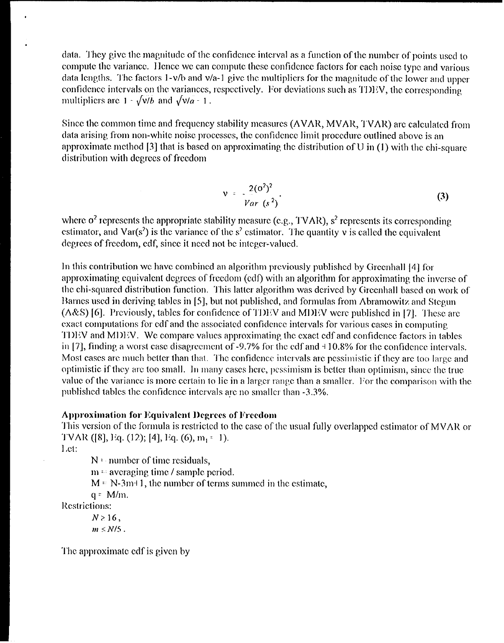data. They give the magnitude of the confidence interval as a function of the number of points used to compute the variance. Hence we can compute these confidence factors for each noise type and various data lengths. The factors  $1-v/b$  and  $v/a-1$  give the multipliers for the magnitude of the lower and upper confidence intervals on the variances, respectively. For deviations such as TDEV, the corresponding multipliers are  $1 - \sqrt{v/b}$  and  $\sqrt{v/a} - 1$ .

Since the common time and frequency stability measures (AVAR, MVAR, TVAR) are calculated from data arising from non-white noise processes, the confidence limit procedure outlined above is an approximate method [3] that is based on approximating the distribution of U in  $(1)$  with the chi-square distribution with degrees of freedom

$$
v = \frac{2(0^2)^2}{Var(s^2)}.
$$
 (3)

where  $\sigma^2$  represents the appropriate stability measure (e.g., TVAR),  $s^2$  represents its corresponding estimator, and  $Var(s^2)$  is the variance of the s<sup>2</sup> estimator. The quantity v is called the counvalent degrees of freedom, edf, since it need not be integer-valued.

In this contribution we have combined an algorithm previously published by Greenhall [4] for approximating equivalent degrees of freedom (edf) with an algorithm for approximating the inverse of the chi-squared distribution function. This latter algorithm was derived by Greenhall based on work of Barnes used in deriving tables in [5], but not published, and formulas from Abramowitz and Stegun (A&S) [6]. Previously, tables for confidence of TDEV and MDEV were published in [7]. These are exact computations for edf and the associated confidence intervals for various cases in computing TDEV and MDEV. We compare values approximating the exact edf and confidence factors in tables in [7], finding a worst case disagreement of -9.7% for the edf and  $+10.8\%$  for the confidence intervals. Most cases are much better than that. The confidence intervals are pessimistic if they are too large and optimistic if they are too small. In many cases here, pessimism is better than optimism, since the true value of the variance is more certain to lie in a larger range than a smaller. For the comparison with the published tables the confidence intervals are no smaller than -3.3%.

#### **Approximation for Equivalent Degrees of Freedom**

This version of the formula is restricted to the case of the usual fully overlapped estimator of MVAR or TVAR ([8], Eq. (12); [4], Eq. (6),  $m_1 = 1$ ).

Let:

 $N =$  number of time residuals,

 $m =$  averaging time / sample period.

 $M = N-3m+1$ , the number of terms summed in the estimate,

 $q = M/m$ .

Restrictions:

 $N \geq 16$ ,  $m \leq N/5$ .

The approximate edf is given by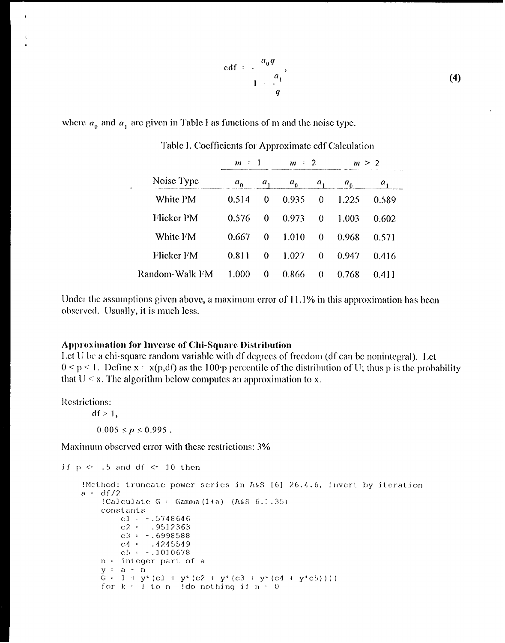$$
\begin{array}{ccc}\n\text{cdf} & -\frac{a_0 q}{q} \\
1 & -\frac{a_1}{q}\n\end{array}\n\tag{4}
$$

where  $a_0$  and  $a_1$  are given in Table I as functions of m and the noise type.

|                | ÷.<br>m |          | $= 2$<br>m |          | m > 2   |       |
|----------------|---------|----------|------------|----------|---------|-------|
| Noise Type     | $a_{0}$ | $a_{1}$  | $a_{0}$    | $a_{1}$  | $a_{0}$ | а,    |
| White PM       | 0.514   | $\theta$ | 0.935      | 0        | 1.225   | 0.589 |
| Flicker PM     | 0.576   | $\Omega$ | 0.973      | $\bf{0}$ | 1.003   | 0.602 |
| White FM       | 0.667   | $\Omega$ | 1.010      | $\Omega$ | 0.968   | 0.571 |
| Flicker FM     | 0.811   | 0        | 1.027      | $\Omega$ | 0.947   | 0.416 |
| Random-Walk FM | 1.000   | 0        | 0.866      | $\theta$ | 0.768   | 0.411 |

#### Table I. Coefficients for Approximate edf Calculation

Under the assumptions given above, a maximum error of 11.1% in this approximation has been observed. Usually, it is much less.

#### **Approximation for Inverse of Chi-Square Distribution**

Let U be a chi-square random variable with df degrees of freedom (df can be nonintegral). Let  $0 \le p \le 1$ . Define  $x = x(p,d)$  as the 100 p percentile of the distribution of U; thus p is the probability that  $U \le x$ . The algorithm below computes an approximation to x.

Restrictions:

 $df > 1$ ,

 $0.005 \le p \le 0.995$ .

Maximum observed error with these restrictions: 3%

```
if p \leftrightarrow .5 and df \Leftarrow 10 then
     !Method: truncate power series in A&S [6] 26.4.6, invert by iteration
     a = df/2|Calculate G = Gamma(1+a) (A6S 6.1.35)constants
                 c1 = -.5748646c2 = 0.9512363<br>c3 = -0.6998588C4 = 0.4245549<br>C5 = -0.1010678n = integer part of a
           y = a - n<br>G = 1 + y*(c1 + y*(c2 + y*(c3 + y*(c4 + y*c5))))<br>for k = 1 to n = !do nothing if n = 0
```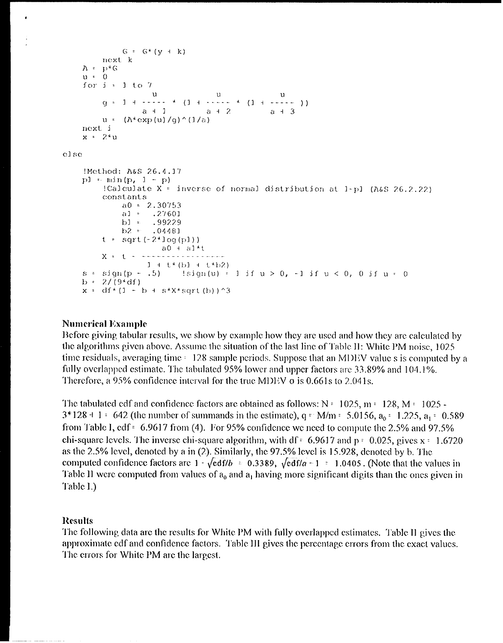```
G = G^{*}(y + k)next k
A = p \star Gu = 0for i = 1 to 7y = 1 + \cdots + (1 + \cdots + (1 + \cdots))a + 1 a + 2a + 3u = (A*exp(u)/q) (1/a)next i
x = 2^x u
```
else

```
!Method: A&S 26.4.17
p1 = min(p, 1 - p)!Calculate X = inverse of normal distribution at 1-p1 (A&S 26.2.22)
    constants
        a0 = 2.30753al \approx.27601
       b1 = .99229b2 =.04481
    t = sqrt(-2*log(p1))–a0 + a1*t
    X = t - \cdots1 + t*(b) + t*b2s = sign(p - .5)!sign(u) = 1 if u > 0, -1 if u < 0, 0 if u = 0b = 2/(9*df)x = df * (1 - b + s * X * sqrt(b)) ^3
```
### **Numerical Example**

Before giving tabular results, we show by example how they are used and how they are calculated by the algorithms given above. Assume the situation of the last line of Table II: White PM noise, 1025 time residuals, averaging time = 128 sample periods. Suppose that an MDEV value s is computed by a fully overlapped estimate. The tabulated 95% lower and upper factors are 33.89% and 104.1%. Therefore, a 95% confidence interval for the true MDEV o is 0.661s to 2.041s.

The tabulated edf and confidence factors are obtained as follows:  $N = 1025$ ,  $m = 128$ ,  $M = 1025$ .  $3*128 + 1 = 642$  (the number of summands in the estimate),  $q = M/m = 5.0156$ ,  $a_0 = 1.225$ ,  $a_1 = 0.589$ from Table I, edf =  $6.9617$  from (4). For 95% confidence we need to compute the 2.5% and 97.5% chi-square levels. The inverse chi-square algorithm, with df = 6.9617 and p = 0.025, gives  $x = 1.6720$ as the 2.5% level, denoted by a in (2). Similarly, the 97.5% level is 15.928, denoted by b. The computed confidence factors are  $1 - \sqrt{\text{edf}/b} = 0.3389$ ,  $\sqrt{\text{edf}/a} - 1 = 1.0405$ . (Note that the values in Table II were computed from values of  $a_0$  and  $a_1$  having more significant digits than the ones given in Table I.)

### **Results**

The following data are the results for White PM with fully overlapped estimates. Table II gives the approximate edf and confidence factors. Table III gives the percentage errors from the exact values. The errors for White PM are the largest.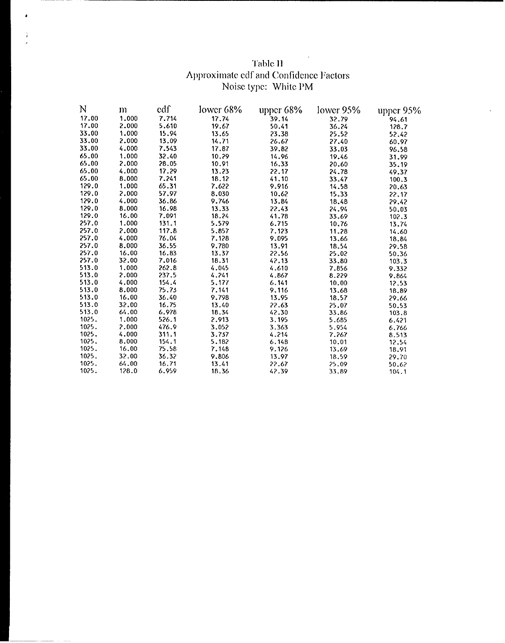# Table II<br>Approximate edf and Confidence Factors<br>Noise type: White PM

 $\overline{\phantom{a}}$ 

 $\ddot{\phantom{1}}$ 

 $\pmb{\cdot}$ 

 $\mathbf{j}$ 

| N     | m     | cdf   | lower 68% | upper 68% | lower 95% | upper 95% |
|-------|-------|-------|-----------|-----------|-----------|-----------|
| 17.00 | 1,000 | 7.714 | 17.74     | 39.14     | 32.79     | 94.61     |
| 17.00 | 2.000 | 5.610 | 19.67     | 50.41     | 36.24     | 128.7     |
| 33.00 | 1.000 | 15.94 | 13.65     | 23.38     | 25.52     | 52.42     |
| 33.00 | 2.000 | 13.09 | 14.71     | 26.67     | 27.40     | 60.97     |
| 33.00 | 4.000 | 7.543 | 17.87     | 39.82     | 33.03     | 96.58     |
| 65.00 | 1.000 | 32.40 | 10.29     | 14.96     | 19.46     | 31.99     |
| 65.00 | 2.000 | 28.05 | 10.91     | 16.33     | 20.60     | 35.19     |
| 65.00 | 4.000 | 17.29 | 13.23     | 22.17     | 24.78     | 49.37     |
| 65.00 | 8.000 | 7.241 | 18.12     | 41.10     | 33.47     | 100.3     |
| 129.0 | 1.000 | 65.31 | 7.622     | 9.916     | 14.58     | 20.63     |
| 129.0 | 2,000 | 57.97 | 8.030     | 10.62     | 15.33     | 22.17     |
| 129.0 | 4,000 | 36.86 | 9.746     | 13.84     | 18.48     | 29.42     |
| 129.0 | 8.000 | 16.98 | 13.33     | 22.43     | 24.94     | 50.03     |
| 129.0 | 16.00 | 7.091 | 18.24     | 41.78     | 33.69     | 102.3     |
| 257.0 | 1.000 | 131.1 | 5.579     | 6.715     | 10.76     | 13.74     |
| 257.0 | 2.000 | 117.8 | 5.857     | 7.123     | 11.28     | 14.60     |
| 257.0 | 4.000 | 76.04 | 7.128     | 9.095     | 13.66     | 18.84     |
| 257.0 | 8.000 | 36.55 | 9.780     | 13.91     | 18.54     | 29.58     |
| 257.0 | 16.00 | 16.83 | 13.37     | 22.56     | 25.02     | 50.36     |
| 257.0 | 32.00 | 7.016 | 18.31     | 42.13     | 33.80     | 103.3     |
| 513.0 | 1.000 | 262.8 | 4.045     | 4.610     | 7.856     | 9.332     |
| 513.0 | 2.000 | 237.5 | 4.241     | 4.867     | 8.229     | 9.864     |
| 513.0 | 4.000 | 154.4 | 5.177     | 6.141     | 10.00     | 12.53     |
| 513.0 | 8.000 | 75.73 | 7.141     | 9.116     | 13.68     | 18.89     |
| 513.0 | 16.00 | 36.40 | 9.798     | 13.95     | 18.57     | 29.66     |
| 513.0 | 32.00 | 16.75 | 13.40     | 22.63     | 25.07     | 50.53     |
| 513.0 | 64.00 | 6.978 | 18.34     | 42.30     | 33.86     | 103.8     |
| 1025. | 1.000 | 526.1 | 2.913     | 3.195     | 5.685     | 6.421     |
| 1025. | 2,000 | 476.9 | 3.052     | 3.363     | 5.954     | 6.766     |
| 1025. | 4,000 | 311.1 | 3.737     | 4.214     | 7.267     | 8.513     |
| 1025. | 8.000 | 154.1 | 5.182     | 6.148     | 10.01     | 12.54     |
| 1025. | 16.00 | 75.58 | 7.148     | 9.126     | 13.69     | 18.91     |
| 1025. | 32.00 | 36.32 | 9.806     | 13.97     | 18.59     | 29.70     |
| 1025. | 64.00 | 16.71 | 13.41     | 22.67     | 25.09     | 50.62     |
| 1025. | 128.0 | 6.959 | 18.36     | 42.39     | 33.89     | 104.1     |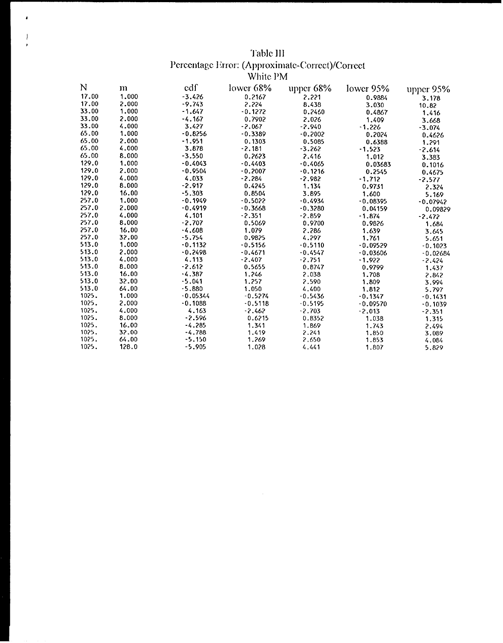# Table III Percentage Error: (Approximate-Correct)/Correct

 $\pmb{\cdot}$ 

 $\begin{array}{c} 1 \\ 1 \end{array}$ 

|       |       |            | White PM  |           |            |            |
|-------|-------|------------|-----------|-----------|------------|------------|
| N     | m     | edf        | lower 68% | upper 68% | lower 95%  | upper 95%  |
| 17.00 | 1.000 | $-3.426$   | 0.2167    | 2.221     | 0.9884     | 3.178      |
| 17.00 | 2.000 | $-9.743$   | 2.224     | 8.438     | 3.030      | 10.82      |
| 33.00 | 1.000 | $-1.647$   | $-0.1272$ | 0.2460    | 0.4867     | 1.416      |
| 33.00 | 2.000 | $-4.167$   | 0.7902    | 2.026     | 1.409      | 3.668      |
| 33.00 | 4.000 | 3.427      | $-2.067$  | $-2.940$  | $-1.226$   | $-3.074$   |
| 65.00 | 1.000 | $-0.8256$  | $-0.3389$ | $-0.2002$ | 0.2024     | 0.4626     |
| 65.00 | 2.000 | $-1.951$   | 0.1303    | 0.5085    | 0.6388     | 1.291      |
| 65.00 | 4.000 | 3.878      | $-2.181$  | $-3.262$  | $-1.523$   | $-2.614$   |
| 65.00 | 8.000 | $-3.550$   | 0.2623    | 2.416     | 1.012      | 3.383      |
| 129.0 | 1.000 | $-0.4043$  | $-0.4403$ | $-0.4065$ | 0.03683    | 0.1016     |
| 129.0 | 2.000 | $-0.9504$  | $-0.2007$ | $-0.1216$ | 0.2545     | 0.4675     |
| 129.0 | 4.000 | 4.033      | $-2.284$  | $-2.982$  | $-1.712$   | $-2.577$   |
| 129.0 | 8.000 | $-2.917$   | 0.4245    | 1.134     | 0.9731     | 2.324      |
| 129.0 | 16.00 | $-5.303$   | 0.8504    | 3.895     | 1.600      | 5.169      |
| 257.0 | 1.000 | $-0.1949$  | $-0.5022$ | $-0.4934$ | $-0.08395$ | $-0.07942$ |
| 257.0 | 2.000 | $-0.4919$  | $-0.3668$ | $-0.3280$ | 0.04159    | 0.09829    |
| 257.0 | 4.000 | 4.101      | $-2.351$  | $-2.859$  | $-1.874$   | $-2.472$   |
| 257.0 | 8,000 | $-2.707$   | 0.5069    | 0.9700    | 0.9826     | 1.684      |
| 257.0 | 16.00 | $-4.608$   | 1.079     | 2.286     | 1.639      | 3.645      |
| 257.0 | 32.00 | $-5.754$   | 0.9825    | 4.297     | 1.761      | 5.651      |
| 513.0 | 1.000 | $-0.1132$  | $-0.5156$ | $-0.5110$ | $-0.09529$ | $-0.1023$  |
| 513.0 | 2.000 | $-0.2498$  | $-0.4671$ | $-0.4547$ | $-0.03606$ | $-0.02684$ |
| 513.0 | 4.000 | 4.113      | $-2.407$  | $-2.751$  | $-1.922$   | -2.424     |
| 513.0 | 8.000 | $-2.612$   | 0.5655    | 0.8747    | 0.9799     | 1.437      |
| 513.0 | 16.00 | $-4.387$   | 1.246     | 2.038     | 1.708      | 2.842      |
| 513.0 | 32.00 | $-5.041$   | 1.257     | 2.590     | 1.809      | 3.994      |
| 513.0 | 64.00 | $-5.880$   | 1.050     | 4.400     | 1.812      | 5.797      |
| 1025. | 1.000 | $-0.05344$ | $-0.5274$ | $-0.5436$ | $-0.1347$  | $-0.1431$  |
| 1025. | 2.000 | $-0.1088$  | $-0.5118$ | $-0.5195$ | $-0.09570$ | -0.1039    |
| 1025. | 4.000 | 4.163      | $-2.462$  | $-2.703$  | $-2.013$   | $-2.351$   |
| 1025. | 8.000 | $-2.596$   | 0.6215    | 0.8352    | 1.038      | 1.315      |
| 1025. | 16.00 | $-4.285$   | 1.341     | 1.869     | 1.743      | 2.494      |
| 1025. | 32.00 | $-4.788$   | 1.419     | 2.241     | 1.850      | 3.089      |
| 1025. | 64.00 | $-5.150$   | 1.269     | 2,650     | 1.853      | 4.084      |
| 1025. | 128.0 | $-5.905$   | 1.028     | 4.441     | 1.807      | 5.829      |